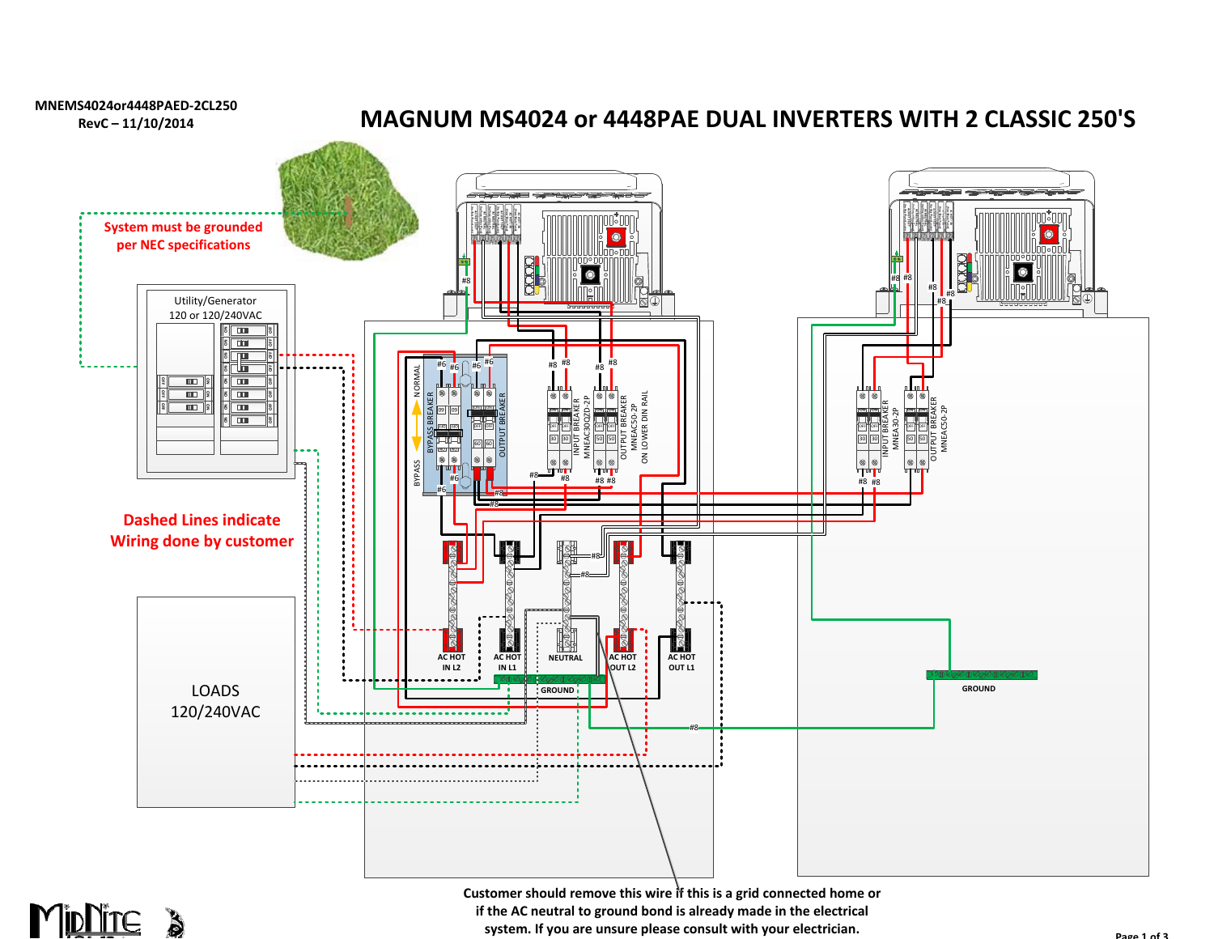



**Customer should remove this wire if this is a grid connected home or if the AC neutral to ground bond is already made in the electrical system. If you are unsure please consult with your electrician.**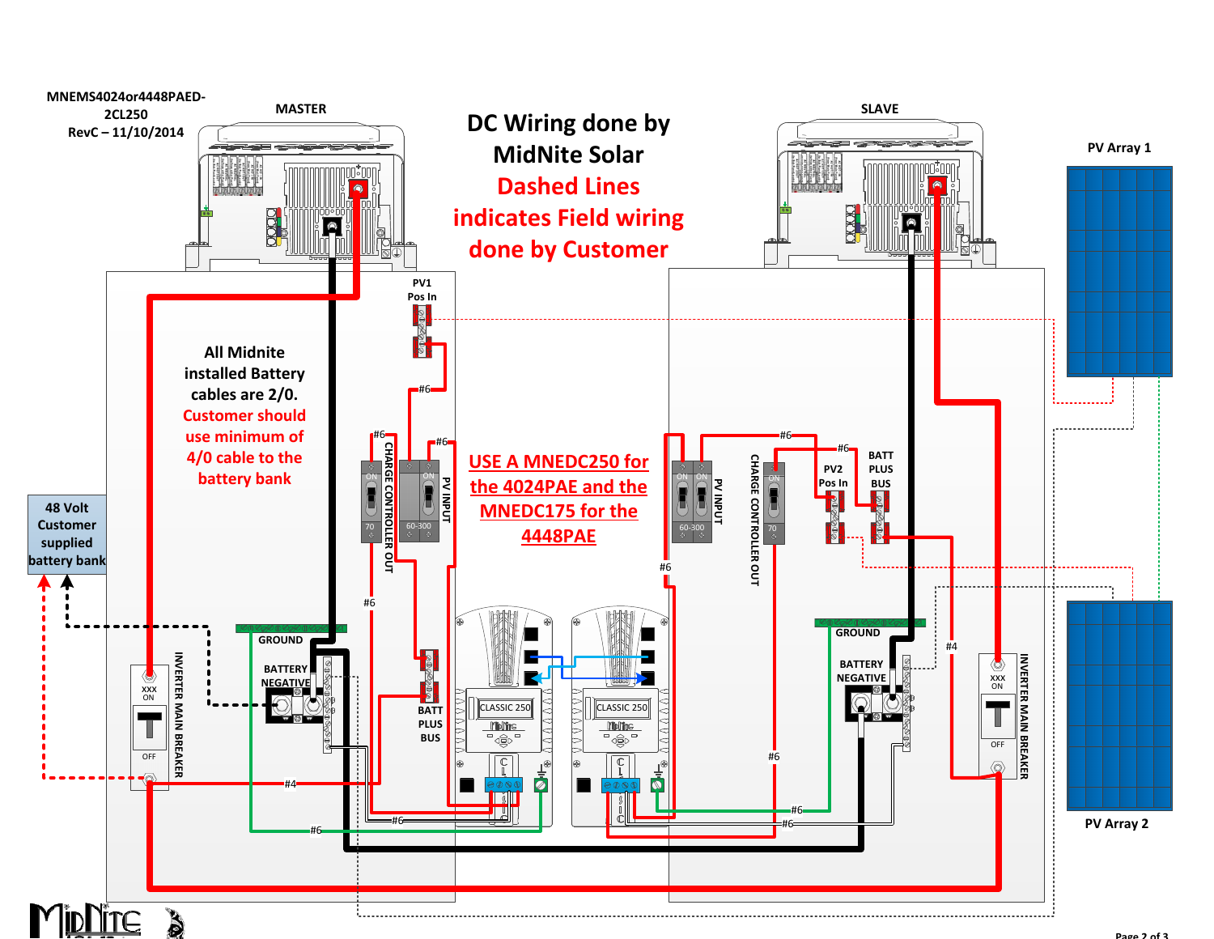